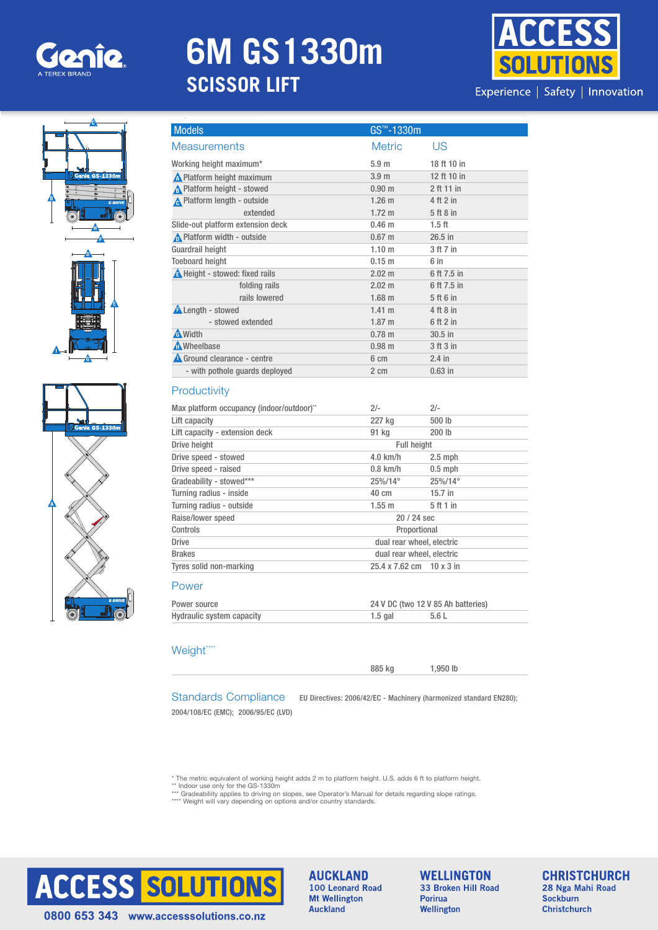

# **6M GS1330m SCISSOR LIFT**

Specifications







| <b>Models</b>                                             | GS™-1330m                |                                    |  |
|-----------------------------------------------------------|--------------------------|------------------------------------|--|
| <b>Measurements</b>                                       | <b>Metric</b>            | US                                 |  |
| Working height maximum*                                   | 5.9 <sub>m</sub>         | 18 ft 10 in                        |  |
| <b>A</b> Platform height maximum                          | 3.9 <sub>m</sub>         | 12 ft 10 in                        |  |
| <b>A</b> Platform height - stowed                         | 0.90 <sub>m</sub>        | 2 ft 11 in                         |  |
| A Platform length - outside                               | $1.26$ m                 | 4 ft 2 in                          |  |
| extended                                                  | 1.72 <sub>m</sub>        | 5 ft 8 in                          |  |
| Slide-out platform extension deck                         | $0.46 \; m$              | $1.5$ ft                           |  |
| Platform width - outside                                  | $0.67$ m                 | $26.5$ in                          |  |
| <b>Guardrail height</b>                                   | 1.10 <sub>m</sub>        | 3 ft 7 in                          |  |
| <b>Toeboard height</b>                                    | $0.15$ m                 | 6 in                               |  |
| <b>A</b> Height - stowed: fixed rails                     | $2.02 \text{ m}$         | 6 ft 7.5 in                        |  |
| folding rails                                             | $2.02 \text{ m}$         | 6 ft 7.5 in                        |  |
| rails lowered                                             | $1.68$ m                 | 5 ft 6 in                          |  |
| <b>ALength - stowed</b>                                   | $1.41 \text{ m}$         | 4 ft 8 in                          |  |
| - stowed extended                                         | 1.87 m                   | 6 ft 2 in                          |  |
| <b>A</b> Width                                            | $0.78$ m                 | $30.5$ in                          |  |
| <b>A</b> Wheelbase                                        | $0.98$ m                 | 3 ft 3 in                          |  |
| Ground clearance - centre                                 | 6 cm                     | $2.4$ in                           |  |
| - with pothole guards deployed                            | 2 cm                     | $0.63$ in                          |  |
| Productivity<br>Max platform occupancy (indoor/outdoor)** | $2/-$                    | $2/-$                              |  |
| Lift capacity                                             | 227 kg                   | 500 lb                             |  |
| Lift capacity - extension deck                            | 91 kg                    | 200 lb                             |  |
| Drive height                                              |                          | <b>Full height</b>                 |  |
| Drive speed - stowed                                      | $4.0$ km/h               | $2.5$ mph                          |  |
| Drive speed - raised                                      | $0.8$ km/h               | $0.5$ mph                          |  |
| Gradeability - stowed***                                  | 25%/14°                  | 25%/14°                            |  |
|                                                           |                          |                                    |  |
| Turning radius - inside                                   | 40 cm                    | $15.7$ in                          |  |
| Turning radius - outside                                  | $1.55$ m                 | 5 ft 1 in                          |  |
| Raise/lower speed                                         |                          | 20 / 24 sec                        |  |
| Controls                                                  |                          | Proportional                       |  |
| <b>Drive</b>                                              |                          | dual rear wheel, electric          |  |
| <b>Brakes</b>                                             |                          | dual rear wheel, electric          |  |
|                                                           | 25.4 x 7.62 cm 10 x 3 in |                                    |  |
| Tyres solid non-marking<br>Power                          |                          |                                    |  |
| Power source                                              |                          | 24 V DC (two 12 V 85 Ah batteries) |  |

# Weight

| <b>Standards Compliance</b> | EU Directives: 2006/42/EC - |
|-----------------------------|-----------------------------|
|                             |                             |

Machinery (harmonized standard EN280);

885 kg 1,950 lb

2004/108/EC (EMC); 2006/95/EC (LVD)

\* The metric equivalent of working height adds 2 m to platform height. U.S. adds 6 ft to platform height.<br>\*\* Indoor use only for the GS-1330m<br>\*\*\* Gradeabiliity applies to driving on slopes, see Operator's Manual for detail \*\*\*\* Weight will vary depending on options and/or country standards.



**AUCKLAND** 100 Leonard Road **Mt Wellington Auckland** 

**WELLINGTON** 33 Broken Hill Road Porirua Wellington

**CHRISTCHURCH** 28 Nga Mahi Road **Sockburn Christchurch**